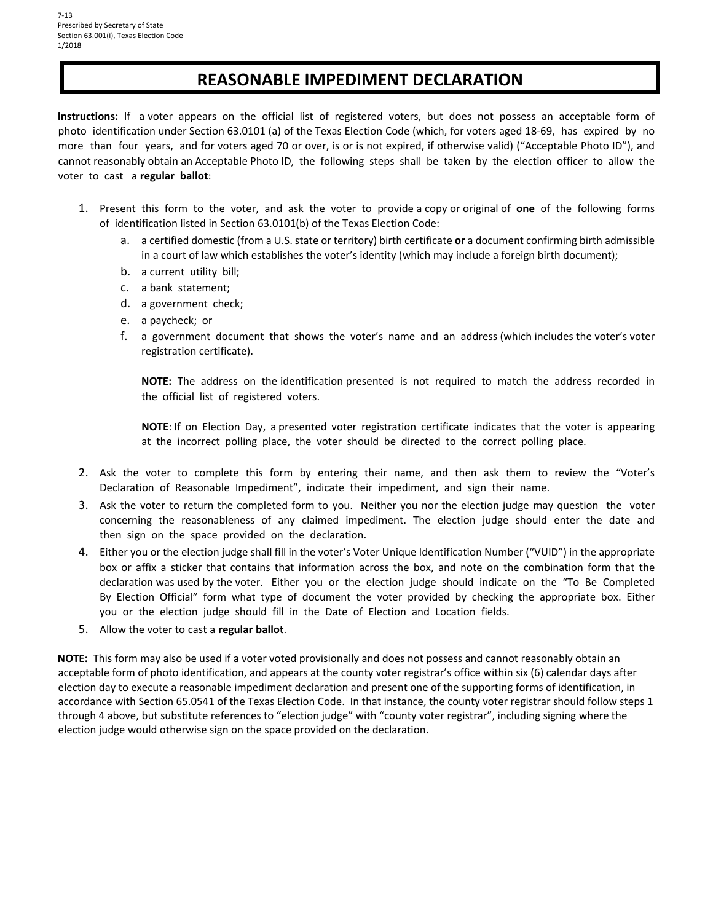# **REASONABLE IMPEDIMENT DECLARATION**

 **Instructions:** If a voter appears on the official list of registered voters, but does not possess an acceptable form of photo identification under Section 63.0101 (a) of the Texas Election Code (which, for voters aged 18‐69, has expired by no more than four years, and for voters aged 70 or over, is or is not expired, if otherwise valid) ("Acceptable Photo ID"), and cannot reasonably obtain an Acceptable Photo ID, the following steps shall be taken by the election officer to allow the voter to cast a **regular ballot**:

- 1. Present this form to the voter, and ask the voter to provide a copy or original of **one** of the following forms of identification listed in Section 63.0101(b) of the Texas Election Code:
	- a. a certified domestic (from a U.S. state or territory) birth certificate **or** a document confirming birth admissible in a court of law which establishes the voter's identity (which may include a foreign birth document);
	- b. a current utility bill;
	- c. a bank statement;
	- d. a government check;
	- e. a paycheck; or
	- f. a government document that shows the voter's name and an address (which includes the voter's voter registration certificate).

 **NOTE:** The address on the identification presented is not required to match the address recorded in the official list of registered voters.

 **NOTE**: If on Election Day, a presented voter registration certificate indicates that the voter is appearing at the incorrect polling place, the voter should be directed to the correct polling place.

- 2. Ask the voter to complete this form by entering their name, and then ask them to review the "Voter's Declaration of Reasonable Impediment", indicate their impediment, and sign their name.
- 3. Ask the voter to return the completed form to you. Neither you nor the election judge may question the voter concerning the reasonableness of any claimed impediment. The election judge should enter the date and then sign on the space provided on the declaration.
- 4. Either you or the election judge shall fill in the voter's Voter Unique Identification Number ("VUID") in the appropriate box or affix a sticker that contains that information across the box, and note on the combination form that the declaration was used by the voter. Either you or the election judge should indicate on the "To Be Completed By Election Official" form what type of document the voter provided by checking the appropriate box. Either you or the election judge should fill in the Date of Election and Location fields.
- 5. Allow the voter to cast a **regular ballot**.

 **NOTE:** This form may also be used if a voter voted provisionally and does not possess and cannot reasonably obtain an acceptable form of photo identification, and appears at the county voter registrar's office within six (6) calendar days after election day to execute a reasonable impediment declaration and present one of the supporting forms of identification, in accordance with Section 65.0541 of the Texas Election Code. In that instance, the county voter registrar should follow steps 1 through 4 above, but substitute references to "election judge" with "county voter registrar", including signing where the election judge would otherwise sign on the space provided on the declaration.